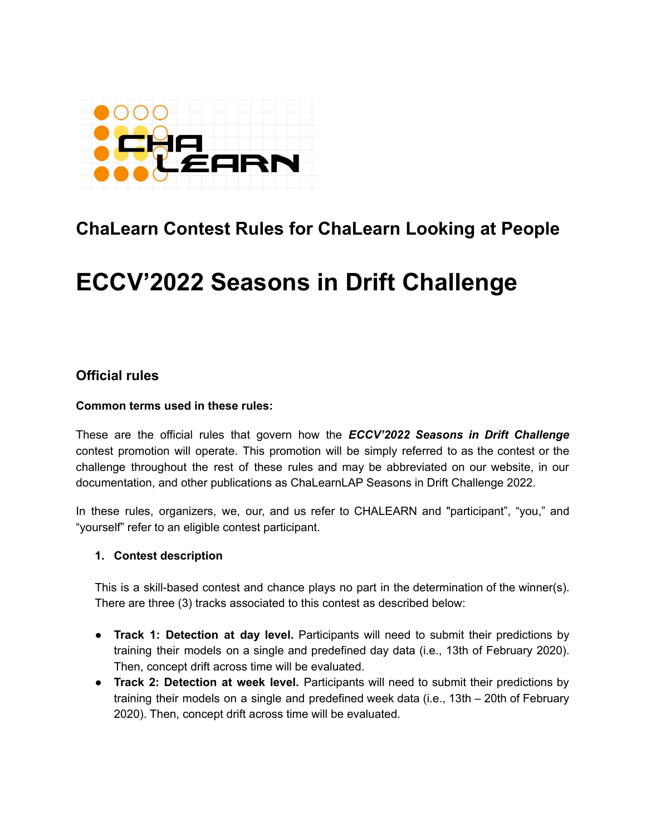

# **ChaLearn Contest Rules for ChaLearn Looking at People**

# **ECCV'2022 Seasons in Drift Challenge**

# **Official rules**

#### **Common terms used in these rules:**

These are the official rules that govern how the *ECCV'2022 Seasons in Drift Challenge* contest promotion will operate. This promotion will be simply referred to as the contest or the challenge throughout the rest of these rules and may be abbreviated on our website, in our documentation, and other publications as ChaLearnLAP Seasons in Drift Challenge 2022.

In these rules, organizers, we, our, and us refer to CHALEARN and "participant", "you," and "yourself" refer to an eligible contest participant.

#### **1. Contest description**

This is a skill-based contest and chance plays no part in the determination of the winner(s). There are three (3) tracks associated to this contest as described below:

- **Track 1: Detection at day level.** Participants will need to submit their predictions by training their models on a single and predefined day data (i.e., 13th of February 2020). Then, concept drift across time will be evaluated.
- **Track 2: Detection at week level.** Participants will need to submit their predictions by training their models on a single and predefined week data (i.e., 13th – 20th of February 2020). Then, concept drift across time will be evaluated.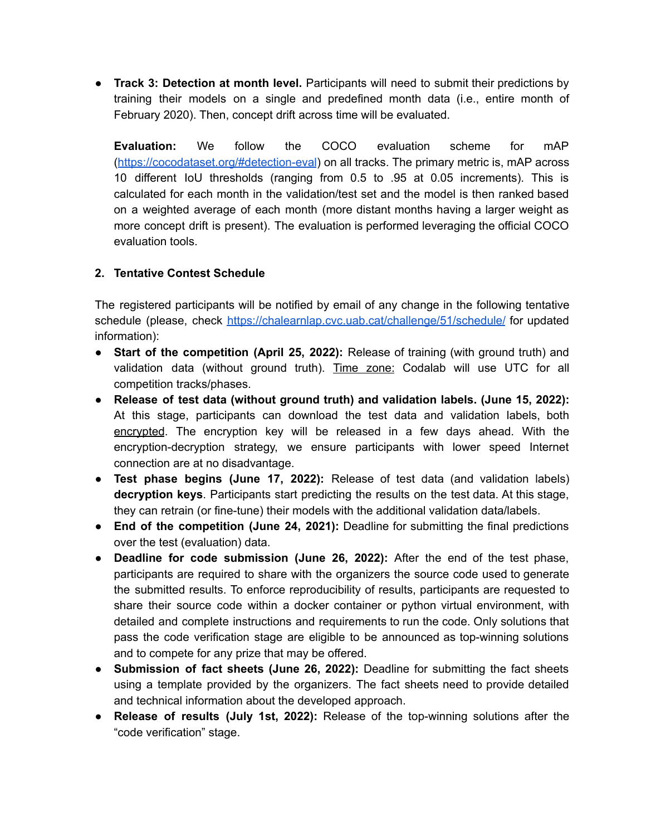● **Track 3: Detection at month level.** Participants will need to submit their predictions by training their models on a single and predefined month data (i.e., entire month of February 2020). Then, concept drift across time will be evaluated.

**Evaluation:** We follow the COCO evaluation scheme for mAP (<https://cocodataset.org/#detection-eval>) on all tracks. The primary metric is, mAP across 10 different IoU thresholds (ranging from 0.5 to .95 at 0.05 increments). This is calculated for each month in the validation/test set and the model is then ranked based on a weighted average of each month (more distant months having a larger weight as more concept drift is present). The evaluation is performed leveraging the official COCO evaluation tools.

# **2. Tentative Contest Schedule**

The registered participants will be notified by email of any change in the following tentative schedule (please, check <https://chalearnlap.cvc.uab.cat/challenge/51/schedule/> for updated information):

- **Start of the competition (April 25, 2022):** Release of training (with ground truth) and validation data (without ground truth). Time zone: Codalab will use UTC for all competition tracks/phases.
- **Release of test data (without ground truth) and validation labels. (June 15, 2022):** At this stage, participants can download the test data and validation labels, both encrypted. The encryption key will be released in a few days ahead. With the encryption-decryption strategy, we ensure participants with lower speed Internet connection are at no disadvantage.
- **Test phase begins (June 17, 2022):** Release of test data (and validation labels) **decryption keys**. Participants start predicting the results on the test data. At this stage, they can retrain (or fine-tune) their models with the additional validation data/labels.
- **End of the competition (June 24, 2021):** Deadline for submitting the final predictions over the test (evaluation) data.
- **Deadline for code submission (June 26, 2022):** After the end of the test phase, participants are required to share with the organizers the source code used to generate the submitted results. To enforce reproducibility of results, participants are requested to share their source code within a docker container or python virtual environment, with detailed and complete instructions and requirements to run the code. Only solutions that pass the code verification stage are eligible to be announced as top-winning solutions and to compete for any prize that may be offered.
- **Submission of fact sheets (June 26, 2022):** Deadline for submitting the fact sheets using a template provided by the organizers. The fact sheets need to provide detailed and technical information about the developed approach.
- **Release of results (July 1st, 2022):** Release of the top-winning solutions after the "code verification" stage.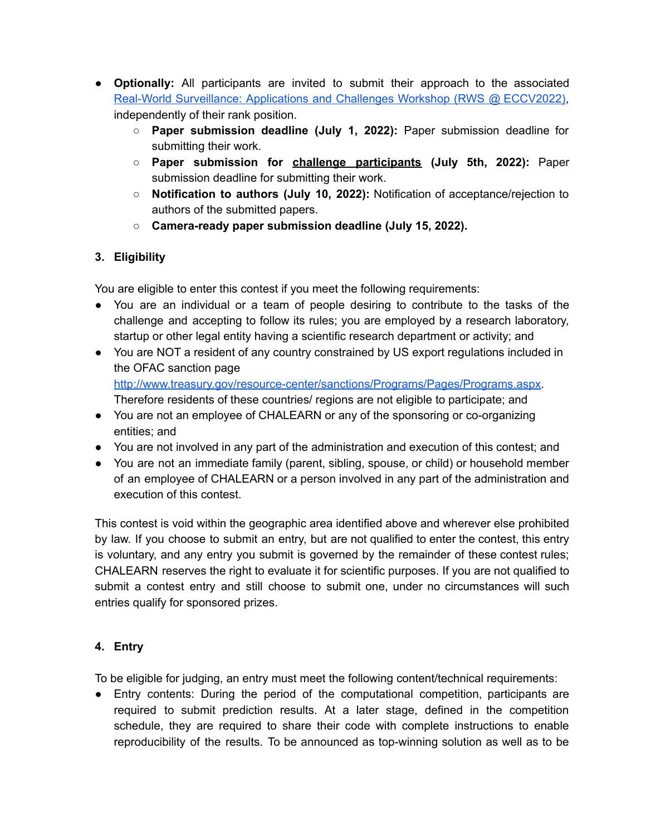- **● Optionally:** All participants are invited to submit their approach to the associated Real-World [Surveillance:](https://vap.aau.dk/rws-eccv2022/) Applications and Challenges Workshop (RWS @ ECCV2022), independently of their rank position.
	- **○ Paper submission deadline (July 1, 2022):** Paper submission deadline for submitting their work.
	- **Paper submission for challenge participants (July 5th, 2022):** Paper submission deadline for submitting their work.
	- **○ Notification to authors (July 10, 2022):** Notification of acceptance/rejection to authors of the submitted papers.
	- **○ Camera-ready paper submission deadline (July 15, 2022).**

# **3. Eligibility**

You are eligible to enter this contest if you meet the following requirements:

- You are an individual or a team of people desiring to contribute to the tasks of the challenge and accepting to follow its rules; you are employed by a research laboratory, startup or other legal entity having a scientific research department or activity; and
- You are NOT a resident of any country constrained by US export regulations included in the OFAC sanction page [http://www.treasury.gov/resource-center/sanctions/Programs/Pages/Programs.aspx.](http://www.treasury.gov/resource-center/sanctions/Programs/Pages/Programs.aspx) Therefore residents of these countries/ regions are not eligible to participate; and
- You are not an employee of CHALEARN or any of the sponsoring or co-organizing entities; and
- You are not involved in any part of the administration and execution of this contest; and
- You are not an immediate family (parent, sibling, spouse, or child) or household member of an employee of CHALEARN or a person involved in any part of the administration and execution of this contest.

This contest is void within the geographic area identified above and wherever else prohibited by law. If you choose to submit an entry, but are not qualified to enter the contest, this entry is voluntary, and any entry you submit is governed by the remainder of these contest rules; CHALEARN reserves the right to evaluate it for scientific purposes. If you are not qualified to submit a contest entry and still choose to submit one, under no circumstances will such entries qualify for sponsored prizes.

# **4. Entry**

To be eligible for judging, an entry must meet the following content/technical requirements:

• Entry contents: During the period of the computational competition, participants are required to submit prediction results. At a later stage, defined in the competition schedule, they are required to share their code with complete instructions to enable reproducibility of the results. To be announced as top-winning solution as well as to be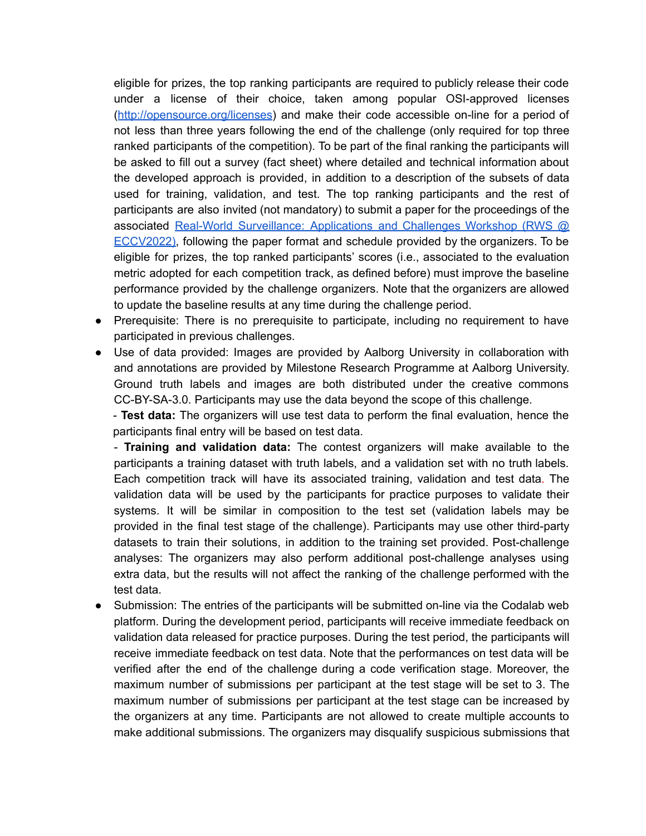eligible for prizes, the top ranking participants are required to publicly release their code under a license of their choice, taken among popular OSI-approved licenses (<http://opensource.org/licenses>) and make their code accessible on-line for a period of not less than three years following the end of the challenge (only required for top three ranked participants of the competition). To be part of the final ranking the participants will be asked to fill out a survey (fact sheet) where detailed and technical information about the developed approach is provided, in addition to a description of the subsets of data used for training, validation, and test. The top ranking participants and the rest of participants are also invited (not mandatory) to submit a paper for the proceedings of the associated Real-World [Surveillance:](https://vap.aau.dk/rws-eccv2022/) Applications and Challenges Workshop (RWS @ [ECCV2022\),](https://vap.aau.dk/rws-eccv2022/) following the paper format and schedule provided by the organizers. To be eligible for prizes, the top ranked participants' scores (i.e., associated to the evaluation metric adopted for each competition track, as defined before) must improve the baseline performance provided by the challenge organizers. Note that the organizers are allowed to update the baseline results at any time during the challenge period.

- Prerequisite: There is no prerequisite to participate, including no requirement to have participated in previous challenges.
- Use of data provided: Images are provided by Aalborg University in collaboration with and annotations are provided by Milestone Research Programme at Aalborg University. Ground truth labels and images are both distributed under the creative commons CC-BY-SA-3.0. Participants may use the data beyond the scope of this challenge.

- **Test data:** The organizers will use test data to perform the final evaluation, hence the participants final entry will be based on test data.

- **Training and validation data:** The contest organizers will make available to the participants a training dataset with truth labels, and a validation set with no truth labels. Each competition track will have its associated training, validation and test data. The validation data will be used by the participants for practice purposes to validate their systems. It will be similar in composition to the test set (validation labels may be provided in the final test stage of the challenge). Participants may use other third-party datasets to train their solutions, in addition to the training set provided. Post-challenge analyses: The organizers may also perform additional post-challenge analyses using extra data, but the results will not affect the ranking of the challenge performed with the test data.

● Submission: The entries of the participants will be submitted on-line via the Codalab web platform. During the development period, participants will receive immediate feedback on validation data released for practice purposes. During the test period, the participants will receive immediate feedback on test data. Note that the performances on test data will be verified after the end of the challenge during a code verification stage. Moreover, the maximum number of submissions per participant at the test stage will be set to 3. The maximum number of submissions per participant at the test stage can be increased by the organizers at any time. Participants are not allowed to create multiple accounts to make additional submissions. The organizers may disqualify suspicious submissions that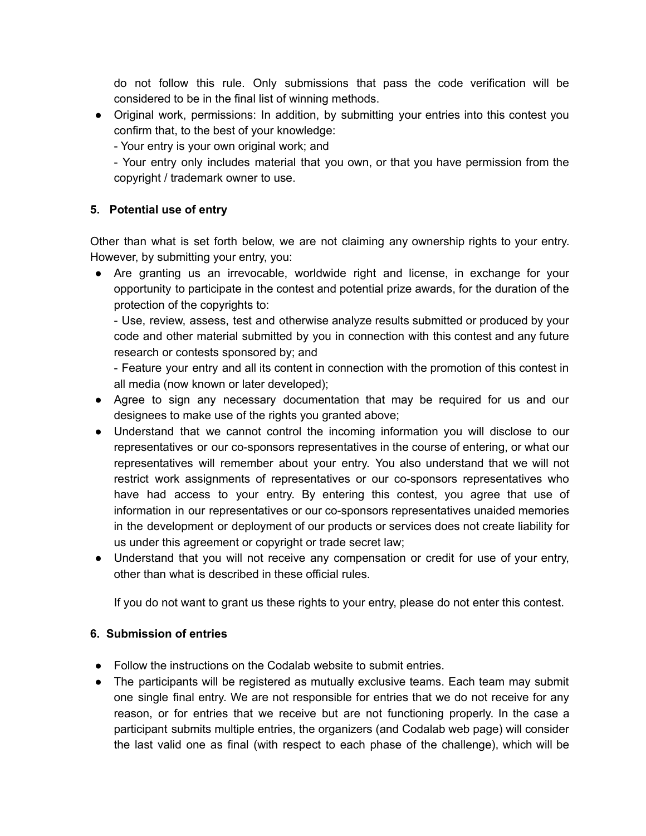do not follow this rule. Only submissions that pass the code verification will be considered to be in the final list of winning methods.

- Original work, permissions: In addition, by submitting your entries into this contest you confirm that, to the best of your knowledge:
	- Your entry is your own original work; and

- Your entry only includes material that you own, or that you have permission from the copyright / trademark owner to use.

## **5. Potential use of entry**

Other than what is set forth below, we are not claiming any ownership rights to your entry. However, by submitting your entry, you:

● Are granting us an irrevocable, worldwide right and license, in exchange for your opportunity to participate in the contest and potential prize awards, for the duration of the protection of the copyrights to:

- Use, review, assess, test and otherwise analyze results submitted or produced by your code and other material submitted by you in connection with this contest and any future research or contests sponsored by; and

- Feature your entry and all its content in connection with the promotion of this contest in all media (now known or later developed);

- Agree to sign any necessary documentation that may be required for us and our designees to make use of the rights you granted above;
- Understand that we cannot control the incoming information you will disclose to our representatives or our co-sponsors representatives in the course of entering, or what our representatives will remember about your entry. You also understand that we will not restrict work assignments of representatives or our co-sponsors representatives who have had access to your entry. By entering this contest, you agree that use of information in our representatives or our co-sponsors representatives unaided memories in the development or deployment of our products or services does not create liability for us under this agreement or copyright or trade secret law;
- Understand that you will not receive any compensation or credit for use of your entry, other than what is described in these official rules.

If you do not want to grant us these rights to your entry, please do not enter this contest.

### **6. Submission of entries**

- Follow the instructions on the Codalab website to submit entries.
- The participants will be registered as mutually exclusive teams. Each team may submit one single final entry. We are not responsible for entries that we do not receive for any reason, or for entries that we receive but are not functioning properly. In the case a participant submits multiple entries, the organizers (and Codalab web page) will consider the last valid one as final (with respect to each phase of the challenge), which will be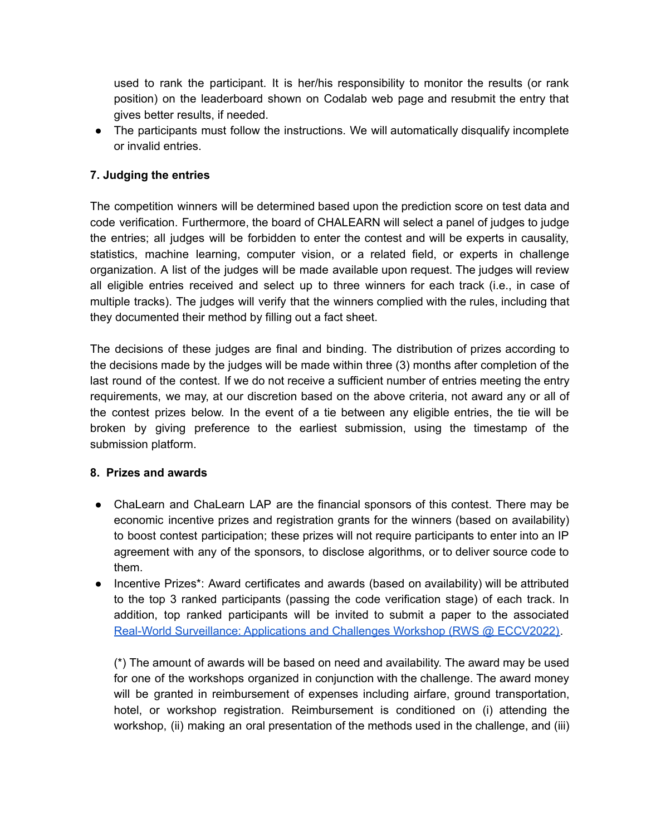used to rank the participant. It is her/his responsibility to monitor the results (or rank position) on the leaderboard shown on Codalab web page and resubmit the entry that gives better results, if needed.

• The participants must follow the instructions. We will automatically disqualify incomplete or invalid entries.

## **7. Judging the entries**

The competition winners will be determined based upon the prediction score on test data and code verification. Furthermore, the board of CHALEARN will select a panel of judges to judge the entries; all judges will be forbidden to enter the contest and will be experts in causality, statistics, machine learning, computer vision, or a related field, or experts in challenge organization. A list of the judges will be made available upon request. The judges will review all eligible entries received and select up to three winners for each track (i.e., in case of multiple tracks). The judges will verify that the winners complied with the rules, including that they documented their method by filling out a fact sheet.

The decisions of these judges are final and binding. The distribution of prizes according to the decisions made by the judges will be made within three (3) months after completion of the last round of the contest. If we do not receive a sufficient number of entries meeting the entry requirements, we may, at our discretion based on the above criteria, not award any or all of the contest prizes below. In the event of a tie between any eligible entries, the tie will be broken by giving preference to the earliest submission, using the timestamp of the submission platform.

### **8. Prizes and awards**

- ChaLearn and ChaLearn LAP are the financial sponsors of this contest. There may be economic incentive prizes and registration grants for the winners (based on availability) to boost contest participation; these prizes will not require participants to enter into an IP agreement with any of the sponsors, to disclose algorithms, or to deliver source code to them.
- Incentive Prizes\*: Award certificates and awards (based on availability) will be attributed to the top 3 ranked participants (passing the code verification stage) of each track. In addition, top ranked participants will be invited to submit a paper to the associated Real-World [Surveillance:](https://vap.aau.dk/rws-eccv2022/) Applications and Challenges Workshop (RWS @ ECCV2022).

(\*) The amount of awards will be based on need and availability. The award may be used for one of the workshops organized in conjunction with the challenge. The award money will be granted in reimbursement of expenses including airfare, ground transportation, hotel, or workshop registration. Reimbursement is conditioned on (i) attending the workshop, (ii) making an oral presentation of the methods used in the challenge, and (iii)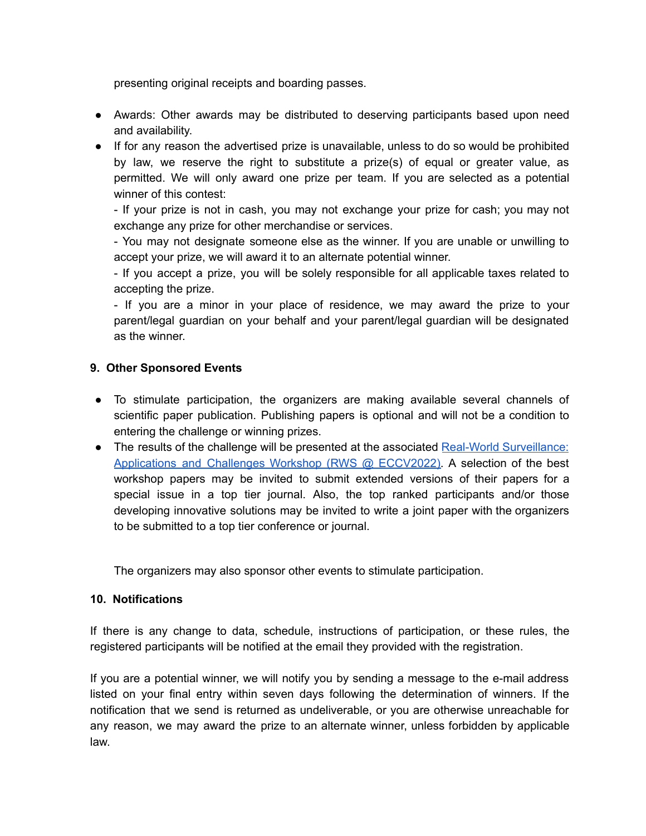presenting original receipts and boarding passes.

- Awards: Other awards may be distributed to deserving participants based upon need and availability.
- If for any reason the advertised prize is unavailable, unless to do so would be prohibited by law, we reserve the right to substitute a prize(s) of equal or greater value, as permitted. We will only award one prize per team. If you are selected as a potential winner of this contest:

- If your prize is not in cash, you may not exchange your prize for cash; you may not exchange any prize for other merchandise or services.

- You may not designate someone else as the winner. If you are unable or unwilling to accept your prize, we will award it to an alternate potential winner.

- If you accept a prize, you will be solely responsible for all applicable taxes related to accepting the prize.

- If you are a minor in your place of residence, we may award the prize to your parent/legal guardian on your behalf and your parent/legal guardian will be designated as the winner.

### **9. Other Sponsored Events**

- To stimulate participation, the organizers are making available several channels of scientific paper publication. Publishing papers is optional and will not be a condition to entering the challenge or winning prizes.
- The results of the challenge will be presented at the associated Real-World [Surveillance:](https://vap.aau.dk/rws-eccv2022/) [Applications](https://vap.aau.dk/rws-eccv2022/) and Challenges Workshop (RWS @ ECCV2022). A selection of the best workshop papers may be invited to submit extended versions of their papers for a special issue in a top tier journal. Also, the top ranked participants and/or those developing innovative solutions may be invited to write a joint paper with the organizers to be submitted to a top tier conference or journal.

The organizers may also sponsor other events to stimulate participation.

### **10. Notifications**

If there is any change to data, schedule, instructions of participation, or these rules, the registered participants will be notified at the email they provided with the registration.

If you are a potential winner, we will notify you by sending a message to the e-mail address listed on your final entry within seven days following the determination of winners. If the notification that we send is returned as undeliverable, or you are otherwise unreachable for any reason, we may award the prize to an alternate winner, unless forbidden by applicable law.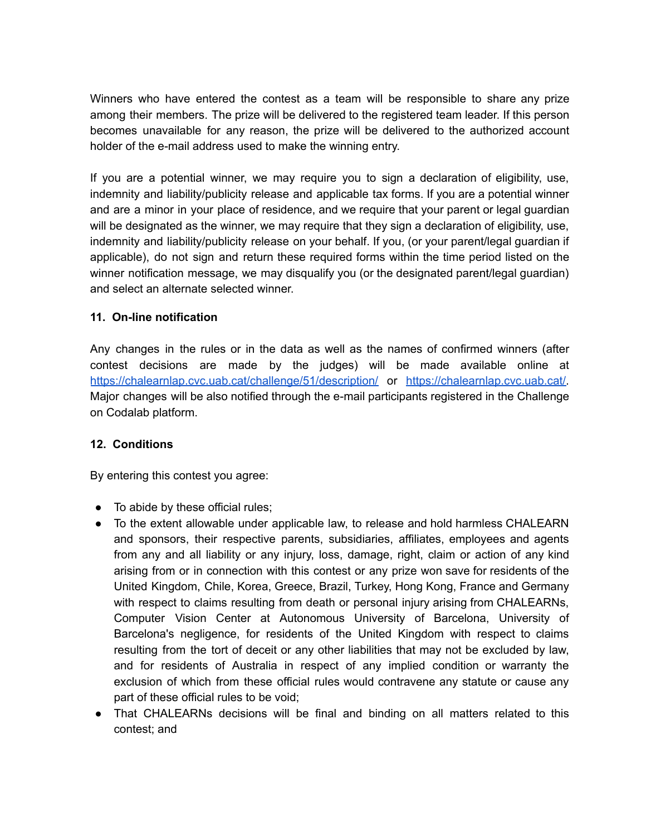Winners who have entered the contest as a team will be responsible to share any prize among their members. The prize will be delivered to the registered team leader. If this person becomes unavailable for any reason, the prize will be delivered to the authorized account holder of the e-mail address used to make the winning entry.

If you are a potential winner, we may require you to sign a declaration of eligibility, use, indemnity and liability/publicity release and applicable tax forms. If you are a potential winner and are a minor in your place of residence, and we require that your parent or legal guardian will be designated as the winner, we may require that they sign a declaration of eligibility, use, indemnity and liability/publicity release on your behalf. If you, (or your parent/legal guardian if applicable), do not sign and return these required forms within the time period listed on the winner notification message, we may disqualify you (or the designated parent/legal guardian) and select an alternate selected winner.

#### **11. On-line notification**

Any changes in the rules or in the data as well as the names of confirmed winners (after contest decisions are made by the judges) will be made available online at <https://chalearnlap.cvc.uab.cat/challenge/51/description/> or [https://chalearnlap.cvc.uab.cat/.](https://chalearnlap.cvc.uab.cat/) Major changes will be also notified through the e-mail participants registered in the Challenge on Codalab platform.

#### **12. Conditions**

By entering this contest you agree:

- To abide by these official rules;
- To the extent allowable under applicable law, to release and hold harmless CHALEARN and sponsors, their respective parents, subsidiaries, affiliates, employees and agents from any and all liability or any injury, loss, damage, right, claim or action of any kind arising from or in connection with this contest or any prize won save for residents of the United Kingdom, Chile, Korea, Greece, Brazil, Turkey, Hong Kong, France and Germany with respect to claims resulting from death or personal injury arising from CHALEARNs, Computer Vision Center at Autonomous University of Barcelona, University of Barcelona's negligence, for residents of the United Kingdom with respect to claims resulting from the tort of deceit or any other liabilities that may not be excluded by law, and for residents of Australia in respect of any implied condition or warranty the exclusion of which from these official rules would contravene any statute or cause any part of these official rules to be void;
- That CHALEARNs decisions will be final and binding on all matters related to this contest; and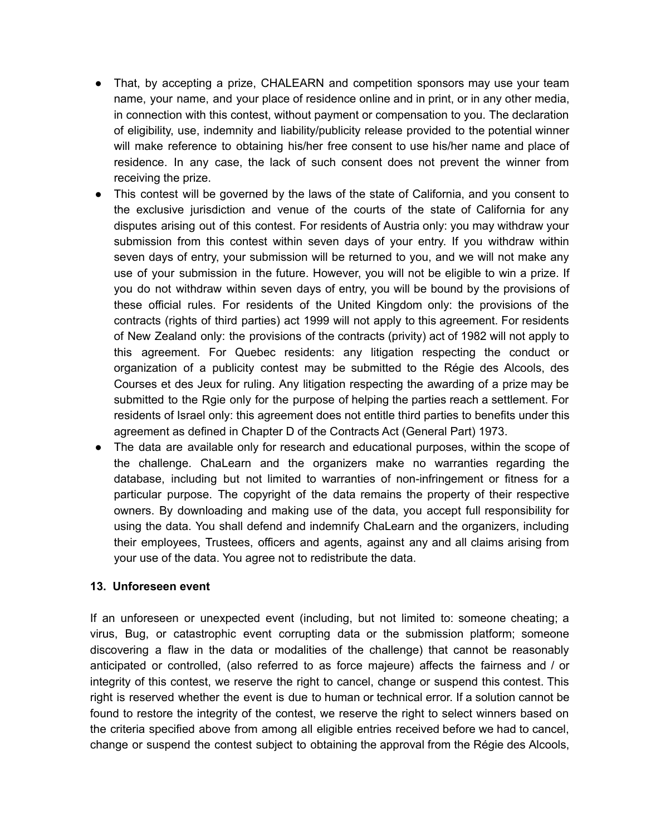- That, by accepting a prize, CHALEARN and competition sponsors may use your team name, your name, and your place of residence online and in print, or in any other media, in connection with this contest, without payment or compensation to you. The declaration of eligibility, use, indemnity and liability/publicity release provided to the potential winner will make reference to obtaining his/her free consent to use his/her name and place of residence. In any case, the lack of such consent does not prevent the winner from receiving the prize.
- This contest will be governed by the laws of the state of California, and you consent to the exclusive jurisdiction and venue of the courts of the state of California for any disputes arising out of this contest. For residents of Austria only: you may withdraw your submission from this contest within seven days of your entry. If you withdraw within seven days of entry, your submission will be returned to you, and we will not make any use of your submission in the future. However, you will not be eligible to win a prize. If you do not withdraw within seven days of entry, you will be bound by the provisions of these official rules. For residents of the United Kingdom only: the provisions of the contracts (rights of third parties) act 1999 will not apply to this agreement. For residents of New Zealand only: the provisions of the contracts (privity) act of 1982 will not apply to this agreement. For Quebec residents: any litigation respecting the conduct or organization of a publicity contest may be submitted to the Régie des Alcools, des Courses et des Jeux for ruling. Any litigation respecting the awarding of a prize may be submitted to the Rgie only for the purpose of helping the parties reach a settlement. For residents of Israel only: this agreement does not entitle third parties to benefits under this agreement as defined in Chapter D of the Contracts Act (General Part) 1973.
- The data are available only for research and educational purposes, within the scope of the challenge. ChaLearn and the organizers make no warranties regarding the database, including but not limited to warranties of non-infringement or fitness for a particular purpose. The copyright of the data remains the property of their respective owners. By downloading and making use of the data, you accept full responsibility for using the data. You shall defend and indemnify ChaLearn and the organizers, including their employees, Trustees, officers and agents, against any and all claims arising from your use of the data. You agree not to redistribute the data.

#### **13. Unforeseen event**

If an unforeseen or unexpected event (including, but not limited to: someone cheating; a virus, Bug, or catastrophic event corrupting data or the submission platform; someone discovering a flaw in the data or modalities of the challenge) that cannot be reasonably anticipated or controlled, (also referred to as force majeure) affects the fairness and / or integrity of this contest, we reserve the right to cancel, change or suspend this contest. This right is reserved whether the event is due to human or technical error. If a solution cannot be found to restore the integrity of the contest, we reserve the right to select winners based on the criteria specified above from among all eligible entries received before we had to cancel, change or suspend the contest subject to obtaining the approval from the Régie des Alcools,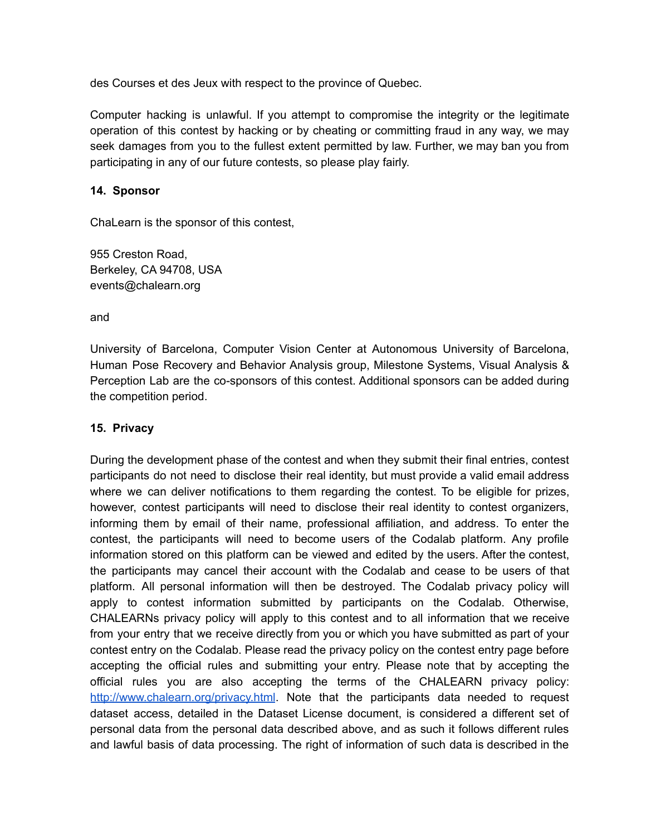des Courses et des Jeux with respect to the province of Quebec.

Computer hacking is unlawful. If you attempt to compromise the integrity or the legitimate operation of this contest by hacking or by cheating or committing fraud in any way, we may seek damages from you to the fullest extent permitted by law. Further, we may ban you from participating in any of our future contests, so please play fairly.

### **14. Sponsor**

ChaLearn is the sponsor of this contest,

955 Creston Road, Berkeley, CA 94708, USA events@chalearn.org

and

University of Barcelona, Computer Vision Center at Autonomous University of Barcelona, Human Pose Recovery and Behavior Analysis group, Milestone Systems, Visual Analysis & Perception Lab are the co-sponsors of this contest. Additional sponsors can be added during the competition period.

### **15. Privacy**

During the development phase of the contest and when they submit their final entries, contest participants do not need to disclose their real identity, but must provide a valid email address where we can deliver notifications to them regarding the contest. To be eligible for prizes, however, contest participants will need to disclose their real identity to contest organizers, informing them by email of their name, professional affiliation, and address. To enter the contest, the participants will need to become users of the Codalab platform. Any profile information stored on this platform can be viewed and edited by the users. After the contest, the participants may cancel their account with the Codalab and cease to be users of that platform. All personal information will then be destroyed. The Codalab privacy policy will apply to contest information submitted by participants on the Codalab. Otherwise, CHALEARNs privacy policy will apply to this contest and to all information that we receive from your entry that we receive directly from you or which you have submitted as part of your contest entry on the Codalab. Please read the privacy policy on the contest entry page before accepting the official rules and submitting your entry. Please note that by accepting the official rules you are also accepting the terms of the CHALEARN privacy policy: <http://www.chalearn.org/privacy.html>. Note that the participants data needed to request dataset access, detailed in the Dataset License document, is considered a different set of personal data from the personal data described above, and as such it follows different rules and lawful basis of data processing. The right of information of such data is described in the